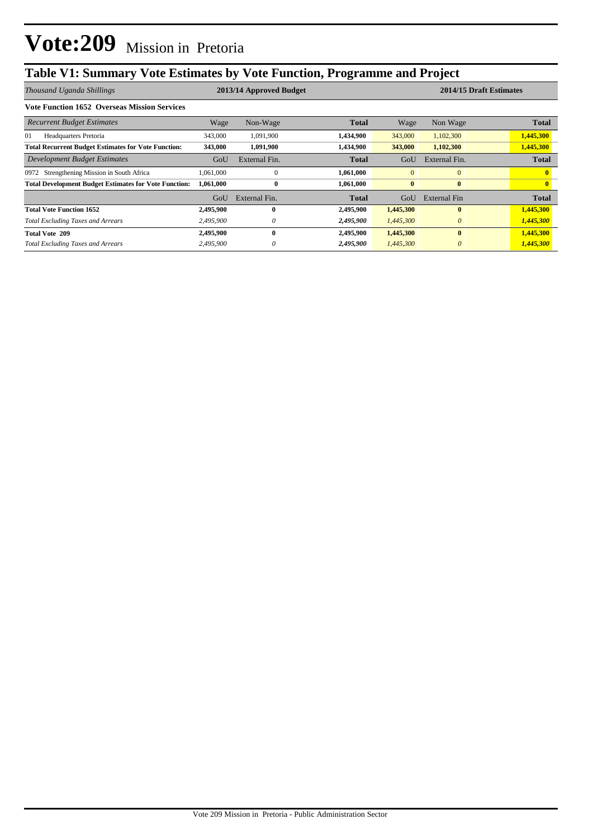## **Table V1: Summary Vote Estimates by Vote Function, Programme and Project**

| Thousand Uganda Shillings                                    |           | 2013/14 Approved Budget |              |              | 2014/15 Draft Estimates |              |  |
|--------------------------------------------------------------|-----------|-------------------------|--------------|--------------|-------------------------|--------------|--|
| <b>Vote Function 1652 Overseas Mission Services</b>          |           |                         |              |              |                         |              |  |
| <b>Recurrent Budget Estimates</b>                            | Wage      | Non-Wage                | <b>Total</b> | Wage         | Non Wage                | <b>Total</b> |  |
| Headquarters Pretoria<br>01                                  | 343,000   | 1,091,900               | 1,434,900    | 343,000      | 1,102,300               | 1,445,300    |  |
| <b>Total Recurrent Budget Estimates for Vote Function:</b>   | 343,000   | 1,091,900               | 1,434,900    | 343,000      | 1,102,300               | 1,445,300    |  |
| Development Budget Estimates                                 | GoU       | External Fin.           | <b>Total</b> | GoU          | External Fin.           | <b>Total</b> |  |
| 0972 Strengthening Mission in South Africa                   | ,061,000  | $\Omega$                | 1,061,000    | $\mathbf{0}$ | $\mathbf{0}$            |              |  |
| <b>Total Development Budget Estimates for Vote Function:</b> | 1,061,000 | $\bf{0}$                | 1,061,000    | $\mathbf{0}$ | $\bf{0}$                |              |  |
|                                                              | GoU       | External Fin.           | <b>Total</b> | GoU          | External Fin            | <b>Total</b> |  |
| <b>Total Vote Function 1652</b>                              | 2,495,900 | $\mathbf{0}$            | 2,495,900    | 1,445,300    | $\bf{0}$                | 1,445,300    |  |
| <b>Total Excluding Taxes and Arrears</b>                     | 2,495,900 | $\theta$                | 2,495,900    | 1,445,300    | $\theta$                | 1,445,300    |  |
| <b>Total Vote 209</b>                                        | 2,495,900 | $\mathbf{0}$            | 2,495,900    | 1,445,300    | $\mathbf{0}$            | 1,445,300    |  |
| <b>Total Excluding Taxes and Arrears</b>                     | 2,495,900 | $\theta$                | 2,495,900    | 1,445,300    | $\theta$                | 1,445,300    |  |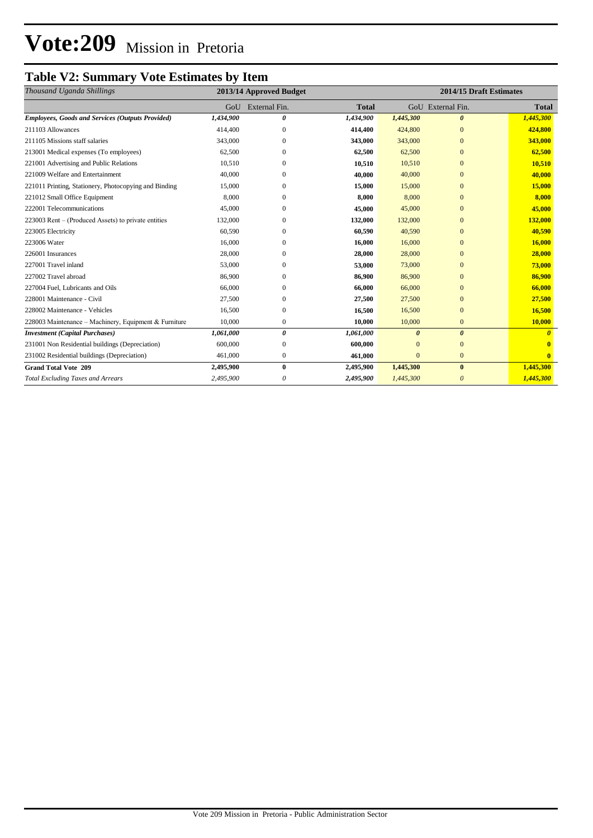# **Vote:209** Mission in Pretoria

### **Table V2: Summary Vote Estimates by Item**

| Thousand Uganda Shillings                               |           | 2013/14 Approved Budget | 2014/15 Draft Estimates |                       |                         |              |
|---------------------------------------------------------|-----------|-------------------------|-------------------------|-----------------------|-------------------------|--------------|
|                                                         | GoU       | External Fin.           | <b>Total</b>            |                       | GoU External Fin.       | <b>Total</b> |
| <b>Employees, Goods and Services (Outputs Provided)</b> | 1,434,900 | $\boldsymbol{\theta}$   | 1,434,900               | 1,445,300             | $\boldsymbol{\theta}$   | 1,445,300    |
| 211103 Allowances                                       | 414,400   | $\mathbf{0}$            | 414,400                 | 424,800               | $\mathbf{0}$            | 424,800      |
| 211105 Missions staff salaries                          | 343,000   | $\mathbf{0}$            | 343,000                 | 343,000               | $\mathbf{0}$            | 343,000      |
| 213001 Medical expenses (To employees)                  | 62,500    | $\Omega$                | 62,500                  | 62,500                | $\Omega$                | 62,500       |
| 221001 Advertising and Public Relations                 | 10,510    | $\mathbf{0}$            | 10,510                  | 10,510                | $\mathbf{0}$            | 10,510       |
| 221009 Welfare and Entertainment                        | 40,000    | $\Omega$                | 40,000                  | 40,000                | $\overline{0}$          | 40,000       |
| 221011 Printing, Stationery, Photocopying and Binding   | 15,000    | $\mathbf{0}$            | 15,000                  | 15,000                | $\mathbf{0}$            | 15,000       |
| 221012 Small Office Equipment                           | 8,000     | $\mathbf{0}$            | 8,000                   | 8,000                 | $\mathbf{0}$            | 8,000        |
| 222001 Telecommunications                               | 45,000    | $\mathbf{0}$            | 45,000                  | 45,000                | $\mathbf{0}$            | 45,000       |
| 223003 Rent – (Produced Assets) to private entities     | 132,000   | $\mathbf{0}$            | 132,000                 | 132,000               | $\mathbf{0}$            | 132,000      |
| 223005 Electricity                                      | 60,590    | $\Omega$                | 60,590                  | 40,590                | $\overline{0}$          | 40,590       |
| 223006 Water                                            | 16,000    | $\mathbf{0}$            | 16,000                  | 16,000                | $\overline{0}$          | 16,000       |
| 226001 Insurances                                       | 28,000    | $\Omega$                | 28,000                  | 28,000                | $\mathbf{0}$            | 28,000       |
| 227001 Travel inland                                    | 53,000    | $\mathbf{0}$            | 53,000                  | 73,000                | $\mathbf{0}$            | 73,000       |
| 227002 Travel abroad                                    | 86,900    | $\mathbf{0}$            | 86,900                  | 86,900                | $\mathbf{0}$            | 86,900       |
| 227004 Fuel, Lubricants and Oils                        | 66,000    | $\Omega$                | 66,000                  | 66,000                | $\mathbf{0}$            | 66,000       |
| 228001 Maintenance - Civil                              | 27,500    | $\mathbf{0}$            | 27,500                  | 27,500                | $\mathbf{0}$            | 27,500       |
| 228002 Maintenance - Vehicles                           | 16,500    | $\mathbf{0}$            | 16,500                  | 16,500                | $\mathbf{0}$            | 16,500       |
| 228003 Maintenance - Machinery, Equipment & Furniture   | 10.000    | $\mathbf{0}$            | 10,000                  | 10,000                | $\mathbf{0}$            | 10,000       |
| <b>Investment</b> (Capital Purchases)                   | 1,061,000 | $\boldsymbol{\theta}$   | 1,061,000               | $\boldsymbol{\theta}$ | $\boldsymbol{\theta}$   |              |
| 231001 Non Residential buildings (Depreciation)         | 600,000   | $\mathbf{0}$            | 600,000                 | $\overline{0}$        | $\overline{0}$          |              |
| 231002 Residential buildings (Depreciation)             | 461,000   | $\bf{0}$                | 461,000                 | $\mathbf{0}$          | $\mathbf{0}$            |              |
| <b>Grand Total Vote 209</b>                             | 2,495,900 | $\bf{0}$                | 2,495,900               | 1,445,300             | $\bf{0}$                | 1,445,300    |
| <b>Total Excluding Taxes and Arrears</b>                | 2,495,900 | 0                       | 2,495,900               | 1,445,300             | $\overline{\mathbf{0}}$ | 1,445,300    |